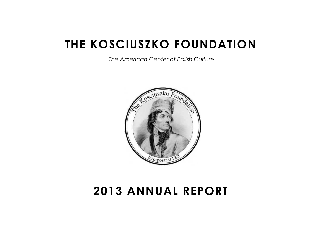# **THE KOSCIUSZKO FOUNDATION**

 *The American Center of Polish Culture*



# **2013 ANNUAL REPORT**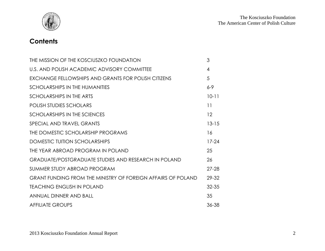

# **Contents**

| THE MISSION OF THE KOSCIUSZKO FOUNDATION                            | 3         |
|---------------------------------------------------------------------|-----------|
| U.S. AND POLISH ACADEMIC ADVISORY COMMITTEE                         | 4         |
| EXCHANGE FELLOWSHIPS AND GRANTS FOR POLISH CITIZENS                 | 5         |
| SCHOLARSHIPS IN THE HUMANITIES                                      | $6 - 9$   |
| SCHOLARSHIPS IN THE ARTS                                            | $10 - 11$ |
| <b>POLISH STUDIES SCHOLARS</b>                                      | 11        |
| SCHOLARSHIPS IN THE SCIENCES                                        | 12        |
| SPECIAL AND TRAVEL GRANTS                                           | $13 - 15$ |
| THE DOMESTIC SCHOLARSHIP PROGRAMS                                   | 16        |
| DOMESTIC TUITION SCHOLARSHIPS                                       | $17 - 24$ |
| THE YEAR ABROAD PROGRAM IN POLAND                                   | 25        |
| <b>GRADUATE/POSTGRADUATE STUDIES AND RESEARCH IN POLAND</b>         | 26        |
| SUMMER STUDY ABROAD PROGRAM                                         | $27 - 28$ |
| <b>GRANT FUNDING FROM THE MINISTRY OF FOREIGN AFFAIRS OF POLAND</b> | 29-32     |
| <b>TEACHING ENGLISH IN POLAND</b>                                   | $32 - 35$ |
| ANNUAL DINNER AND BALL                                              | 35        |
| <b>AFFILIATE GROUPS</b>                                             | 36-38     |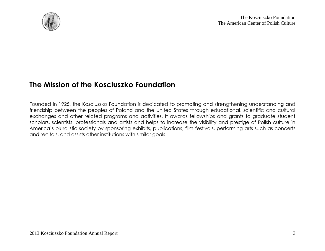

### **The Mission of the Kosciuszko Foundation**

Founded in 1925, the Kosciuszko Foundation is dedicated to promoting and strengthening understanding and friendship between the peoples of Poland and the United States through educational, scientific and cultural exchanges and other related programs and activities. It awards fellowships and grants to graduate student scholars, scientists, professionals and artists and helps to increase the visibility and prestige of Polish culture in America's pluralistic society by sponsoring exhibits, publications, film festivals, performing arts such as concerts and recitals, and assists other institutions with similar goals.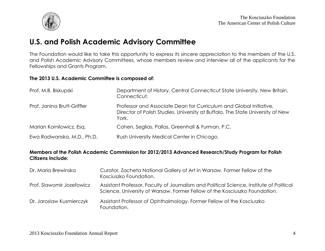

### **U.S. and Polish Academic Advisory Committee**

The Foundation would like to take this opportunity to express its sincere appreciation to the members of the U.S. and Polish Academic Advisory Committees, whose members review and interview all of the applicants for the Fellowships and Grants Program.

#### **The 2013 U.S. Academic Committee is composed of:**

| Prof. M.B. Biskupski        | Department of History, Central Connecticut State University, New Britain,<br>Connecticut.                                                                     |
|-----------------------------|---------------------------------------------------------------------------------------------------------------------------------------------------------------|
| Prof. Janina Brutt-Griffler | Professor and Associate Dean for Curriculum and Global Initiative,<br>Director of Polish Studies, University at Buffalo, The State University of New<br>York. |
| Marian Kornilowicz, Esq.    | Cohen, Seglias, Pallas, Greenhall & Furman, P.C.                                                                                                              |
| Ewa Radwanska, M.D., Ph.D.  | Rush University Medical Center in Chicago.                                                                                                                    |

#### **Members of the Polish Academic Commission for 2012/2013 Advanced Research/Study Program for Polish Citizens include:**

| Dr. Maria Brewinska       | Curator, Zacheta National Gallery of Art in Warsaw. Former Fellow of the<br>Kosciuszko Foundation.                                                                     |
|---------------------------|------------------------------------------------------------------------------------------------------------------------------------------------------------------------|
| Prof. Slawomir Jozefowicz | Assistant Professor, Faculty of Journalism and Political Science, Institute of Political<br>Science, University of Warsaw. Former Fellow of the Kosciuszko Foundation. |
| Dr. Jaroslaw Kusmierczyk  | Assistant Professor of Ophthalmology. Former Fellow of the Kosciuszko<br>Foundation.                                                                                   |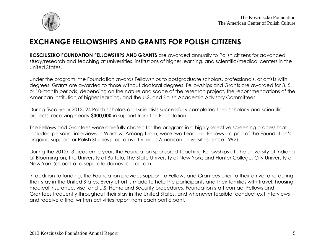

# **EXCHANGE FELLOWSHIPS AND GRANTS FOR POLISH CITIZENS**

**KOSCIUSZKO FOUNDATION FELLOWSHIPS AND GRANTS** are awarded annually to Polish citizens for advanced study/research and teaching at universities, institutions of higher learning, and scientific/medical centers in the United States.

Under the program, the Foundation awards Fellowships to postgraduate scholars, professionals, or artists with degrees. Grants are awarded to those without doctoral degrees. Fellowships and Grants are awarded for 3, 5, or 10-month periods, depending on the nature and scope of the research project, the recommendations of the American institution of higher learning, and the U.S. and Polish Academic Advisory Committees.

During fiscal year 2013, 24 Polish scholars and scientists successfully completed their scholarly and scientific projects, receiving nearly **\$300,000** in support from the Foundation.

The Fellows and Grantees were carefully chosen for the program in a highly selective screening process that included personal interviews in Warsaw. Among them, were two Teaching Fellows – a part of the Foundation's ongoing support for Polish Studies programs at various American universities (since 1992).

During the 2012/13 academic year, the Foundation sponsored Teaching Fellowships at: the University of Indiana at Bloomington; the University at Buffalo, The State University of New York; and Hunter College, City University of New York (as part of a separate domestic program).

In addition to funding, the Foundation provides support to Fellows and Grantees prior to their arrival and during their stay in the United States. Every effort is made to help the participants and their families with travel, housing, medical insurance, visa, and U.S. Homeland Security procedures. Foundation staff contact Fellows and Grantees frequently throughout their stay in the United States, and whenever feasible, conduct exit interviews and receive a final written activities report from each participant.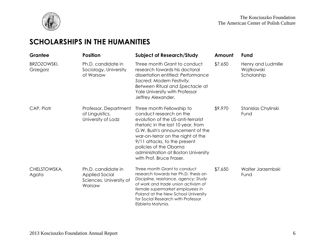

# **SCHOLARSHIPS IN THE HUMANITIES**

| Grantee                        | <b>Position</b>                                                           | <b>Subject of Research/Study</b>                                                                                                                                                                                                                                                                                                     | Amount  | Fund                                            |
|--------------------------------|---------------------------------------------------------------------------|--------------------------------------------------------------------------------------------------------------------------------------------------------------------------------------------------------------------------------------------------------------------------------------------------------------------------------------|---------|-------------------------------------------------|
| <b>BRZOZOWSKI,</b><br>Grzegorz | Ph.D. candidate in<br>Sociology, University<br>of Warsaw                  | Three month Grant to conduct<br>research towards his doctoral<br>dissertation entitled: Performance<br>Sacred: Modern Festivity.<br>Between Ritual and Spectacle at<br>Yale University with Professor<br>Jeffrey Alexander.                                                                                                          | \$7,650 | Henry and Ludmille<br>Wojtkowski<br>Scholarship |
| CAP, Piotr                     | Professor, Department<br>of Linguistics,<br>University of Lodz            | Three month Fellowship to<br>conduct research on the<br>evolution of the US-anti-terrorist<br>rhetoric in the last 10 year, from<br>G.W. Bush's announcement of the<br>war-on-terror on the night of the<br>9/11 attacks, to the present<br>policies of the Obama<br>administration at Boston University<br>with Prof. Bruce Fraser. | \$9,970 | Stanislas Chylinski<br>Fund                     |
| CHELSTOWSKA,<br>Agata          | Ph.D. candidate in<br>Applied Social<br>Sciences, University of<br>Warsaw | Three month Grant to conduct<br>research towards her Ph.D. thesis on<br>Discipline, resistance, agency: Study<br>of work and trade union activism of<br>female supermarket employees in<br>Poland at the New School University<br>for Social Research with Professor<br>Elzbieta Matynia.                                            | \$7,650 | Walter Jarzembski<br>Fund                       |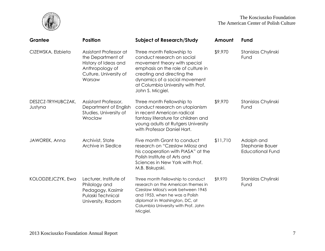

| Grantee                       | <b>Position</b>                                                                                                            | <b>Subject of Research/Study</b>                                                                                                                                                                                                                      | Amount   | <b>Fund</b>                                              |
|-------------------------------|----------------------------------------------------------------------------------------------------------------------------|-------------------------------------------------------------------------------------------------------------------------------------------------------------------------------------------------------------------------------------------------------|----------|----------------------------------------------------------|
| CIZEWSKA, Elzbieta            | Assistant Professor at<br>the Department of<br>History of Ideas and<br>Anthropology of<br>Culture, University of<br>Warsaw | Three month Fellowship to<br>conduct research on social<br>movement theory with special<br>emphasis on the role of culture in<br>creating and directing the<br>dynamics of a social movement<br>at Columbia University with Prof.<br>John S. Micgiel. | \$9,970  | Stanislas Chylinski<br>Fund                              |
| DESZCZ-TRYHUBCZAK,<br>Justyna | Assistant Professor,<br>Department of English<br>Studies, University of<br>Wroclaw                                         | Three month Fellowship to<br>conduct research on utopianism<br>in recent American radical<br>fantasy literature for children and<br>young adults at Rutgers University<br>with Professor Daniel Hart.                                                 | \$9,970  | Stanislas Chylinski<br>Fund                              |
| JAWOREK, Anna                 | Archivist, State<br>Archive in Siedlce                                                                                     | Five month Grant to conduct<br>research on "Czeslaw Milosz and<br>his cooperation with PIASA" at the<br>Polish Institute of Arts and<br>Sciences in New York with Prof.<br>M.B. Biskupski.                                                            | \$11,710 | Adolph and<br>Stephanie Bauer<br><b>Educational Fund</b> |
| KOLODZIEJCZYK, Ewa            | Lecturer, Institute of<br>Philology and<br>Pedagogy, Kasimir<br>Pulaski Technical<br>University, Radom                     | Three month Fellowship to conduct<br>research on the American themes in<br>Czeslaw Milosz's work between 1945<br>and 1953, when he was a Polish<br>diplomat in Washington, DC, at<br>Columbia University with Prof. John<br>Micgiel.                  | \$9,970  | Stanislas Chylinski<br>Fund                              |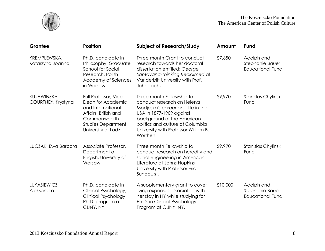



| Grantee                           | <b>Position</b>                                                                                                                                      | <b>Subject of Research/Study</b>                                                                                                                                                                                                               | Amount   | Fund                                                     |
|-----------------------------------|------------------------------------------------------------------------------------------------------------------------------------------------------|------------------------------------------------------------------------------------------------------------------------------------------------------------------------------------------------------------------------------------------------|----------|----------------------------------------------------------|
| KREMPLEWSKA,<br>Katarzyna Joanna  | Ph.D. candidate in<br>Philosophy, Graduate<br>School for Social<br>Research, Polish<br>Academy of Sciences<br>in Warsaw                              | Three month Grant to conduct<br>research towards her doctoral<br>dissertation entitled: George<br>Santayana-Thinking Reclaimed at<br>Vanderbilt University with Prof.<br>John Lachs.                                                           | \$7,650  | Adolph and<br>Stephanie Bauer<br><b>Educational Fund</b> |
| KUJAWINSKA-<br>COURTNEY, Krystyna | Full Professor, Vice-<br>Dean for Academic<br>and International<br>Affairs, British and<br>Commonwealth<br>Studies Department,<br>University of Lodz | Three month Fellowship to<br>conduct research on Helena<br>Modjeska's career and life in the<br>USA in 1877-1909 against<br>background of the American<br>politics and culture at Columbia<br>University with Professor William B.<br>Worthen. | \$9,970  | Stanislas Chylinski<br>Fund                              |
| LUCZAK, Ewa Barbara               | Associate Professor,<br>Department of<br>English, University of<br>Warsaw                                                                            | Three month Fellowship to<br>conduct research on heredity and<br>social engineering in American<br>Literature at Johns Hopkins<br>University with Professor Eric<br>Sundquist.                                                                 | \$9,970  | Stanislas Chylinski<br>Fund                              |
| LUKASIEWICZ,<br>Aleksandra        | Ph.D. candidate in<br>Clinical Psychology,<br><b>Clinical Psychology</b><br>Ph.D. program at<br>CUNY, NY                                             | A supplementary grant to cover<br>living expenses associated with<br>her stay in NY while studying for<br>Ph.D. in Clinical Psychology<br>Program at CUNY, NY.                                                                                 | \$10,000 | Adolph and<br>Stephanie Bauer<br><b>Educational Fund</b> |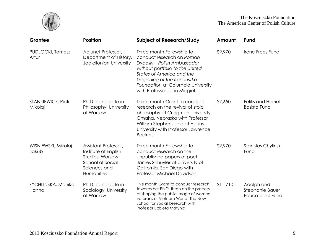

The Kosciuszko Foundation The American Center of Polish Culture

| Grantee                       | <b>Position</b>                                                                                                          | <b>Subject of Research/Study</b>                                                                                                                                                                                                                          | Amount   | Fund                                                     |
|-------------------------------|--------------------------------------------------------------------------------------------------------------------------|-----------------------------------------------------------------------------------------------------------------------------------------------------------------------------------------------------------------------------------------------------------|----------|----------------------------------------------------------|
| PUDLOCKI, Tomasz<br>Artur     | Adjunct Professor,<br>Department of History,<br>Jagiellonian University                                                  | Three month Fellowship to<br>conduct research on Roman<br>Dyboski - Polish Ambassador<br>without portfolio to the United<br>States of America and the<br>beginning of the Kosciuszko<br>Foundation at Columbia University<br>with Professor John Micgiel. | \$9,970  | Irene Frees Fund                                         |
| STANKIEWICZ, Piotr<br>Mikolaj | Ph.D. candidate in<br>Philosophy, University<br>of Warsaw                                                                | Three month Grant to conduct<br>research on the revival of stoic<br>philosophy at Creighton University,<br>Omaha, Nebraska with Professor<br>William Stephens and at Hollins<br>University with Professor Lawrence<br>Becker.                             | \$7,650  | <b>Feliks and Harriet</b><br><b>Basista Fund</b>         |
| WISNIEWSKI, Mikolaj<br>Jakub  | Assistant Professor,<br>Institute of English<br>Studies, Warsaw<br><b>School of Social</b><br>Sciences and<br>Humanities | Three month Fellowship to<br>conduct research on the<br>unpublished papers of poet<br>James Schuyler at University of<br>California, San Diego with<br>Professor Michael Davidson.                                                                        | \$9,970  | Stanislas Chylinski<br>Fund                              |
| ZYCHLINSKA, Monika<br>Hanna   | Ph.D. candidate in<br>Sociology, University<br>of Warsaw                                                                 | Five month Grant to conduct research<br>towards her Ph.D. thesis on the process<br>of shaping the public image of women<br>veterans of Vietnam War at The New<br>School for Social Research with<br>Professor Elzbieta Matynia.                           | \$11,710 | Adolph and<br>Stephanie Bauer<br><b>Educational Fund</b> |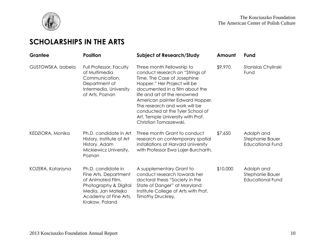

# **SCHOLARSHIPS IN THE ARTS**

| Grantee            | <b>Position</b>                                                                                                                                            | <b>Subject of Research/Study</b>                                                                                                                                                                                                                                                                                                                                     | Amount   | Fund                                                     |
|--------------------|------------------------------------------------------------------------------------------------------------------------------------------------------------|----------------------------------------------------------------------------------------------------------------------------------------------------------------------------------------------------------------------------------------------------------------------------------------------------------------------------------------------------------------------|----------|----------------------------------------------------------|
| GUSTOWSKA, Izabela | Full Professor, Faculty<br>of Multimedia<br>Communication,<br>Department of<br>Intermedia, University<br>of Arts, Poznan                                   | Three month Fellowship to<br>conduct research on "Strings of<br>Time, The Case of Josephine<br>Hopper." Her Project will be<br>documented in a film about the<br>life and art of the renowned<br>American painter Edward Hopper.<br>The research and work will be<br>conducted at the Tyler School of<br>Art, Temple University with Prof.<br>Christian Tomaszewski. | \$9,970  | Stanislas Chylinski<br>Fund                              |
| KEDZIORA, Monika   | Ph.D. candidate in Art<br>History, Institute of Art<br>History, Adam<br>Mickiewicz University,<br>Poznan                                                   | Three month Grant to conduct<br>research on contemporary spatial<br>installations at Harvard University<br>with Professor Ewa Lajer-Burcharth.                                                                                                                                                                                                                       | \$7,650  | Adolph and<br>Stephanie Bauer<br><b>Educational Fund</b> |
| KOZERA, Katarzyna  | Ph.D. candidate in<br>Fine Arts, Department<br>of Animated Film,<br>Photography & Digital<br>Media, Jan Matejko<br>Academy of Fine Arts,<br>Krakow, Poland | A supplementary Grant to<br>conduct research towards her<br>doctoral thesis "Society in the<br>State of Danger" at Maryland<br>Institute College of Arts with Prof.<br>Timothy Druckrey.                                                                                                                                                                             | \$10,000 | Adolph and<br>Stephanie Bauer<br><b>Educational Fund</b> |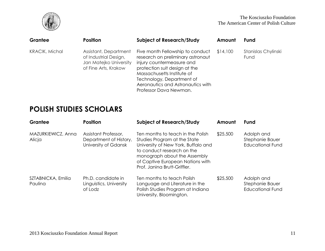

| Grantee               | <b>Position</b>                                                                                  | <b>Subject of Research/Study</b>                                                                                                                                                                                                                              | Amount   | <b>Fund</b>                 |
|-----------------------|--------------------------------------------------------------------------------------------------|---------------------------------------------------------------------------------------------------------------------------------------------------------------------------------------------------------------------------------------------------------------|----------|-----------------------------|
| <b>KRACIK, Michal</b> | Assistant, Department<br>of Industrial Design,<br>Jan Matejko University<br>of Fine Arts, Krakow | Five month Fellowship to conduct<br>research on preliminary astronaut<br>injury countermeasure and<br>protection suit design at the<br>Massachusetts Institute of<br>Technology, Department of<br>Aeronautics and Astronautics with<br>Professor Dava Newman. | \$14,100 | Stanislas Chylinski<br>Fund |

# **POLISH STUDIES SCHOLARS**

| Grantee                       | <b>Position</b>                                                        | <b>Subject of Research/Study</b>                                                                                                                                                                                                           | Amount   | Fund                                                     |
|-------------------------------|------------------------------------------------------------------------|--------------------------------------------------------------------------------------------------------------------------------------------------------------------------------------------------------------------------------------------|----------|----------------------------------------------------------|
| MAZURKIEWICZ, Anna<br>Alicja  | Assistant Professor,<br>Department of History,<br>University of Gdansk | Ten months to teach in the Polish<br>Studies Program at the State<br>University of New York, Buffalo and<br>to conduct research on the<br>monograph about the Assembly<br>of Captive European Nations with<br>Prof. Janina Brutt-Griffler. | \$25,500 | Adolph and<br>Stephanie Bauer<br><b>Educational Fund</b> |
| SZTABNICKA, Emilia<br>Paulina | Ph.D. candidate in<br>Linguistics, University<br>of Lodz               | Ten months to teach Polish<br>Language and Literature in the<br>Polish Studies Program at Indiana<br>University, Bloomington.                                                                                                              | \$25,500 | Adolph and<br>Stephanie Bauer<br><b>Educational Fund</b> |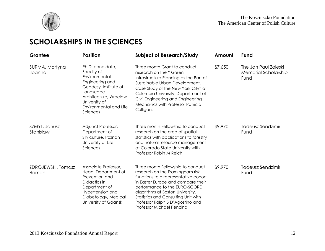

# **SCHOLARSHIPS IN THE SCIENCES**

| Grantee                     | <b>Position</b>                                                                                                                                                                          | <b>Subject of Research/Study</b>                                                                                                                                                                                                                                                                                                        | Amount  | Fund                                                 |
|-----------------------------|------------------------------------------------------------------------------------------------------------------------------------------------------------------------------------------|-----------------------------------------------------------------------------------------------------------------------------------------------------------------------------------------------------------------------------------------------------------------------------------------------------------------------------------------|---------|------------------------------------------------------|
| SURMA, Martyna<br>Joanna    | Ph.D. candidate,<br>Faculty of<br>Environmental<br>Engineering and<br>Geodesy, Institute of<br>Landscape<br>Architecture, Wroclaw<br>University of<br>Environmental and Life<br>Sciences | Three month Grant to conduct<br>research on the "Green<br>Infrastructure Planning as the Part of<br>Sustainable Urban Development.<br>Case Study of the New York City" at<br>Columbia University, Department of<br>Civil Engineering and Engineering<br>Mechanics with Professor Patricia<br>Culligan.                                  | \$7,650 | The Jan Paul Zaleski<br>Memorial Scholarship<br>Fund |
| SZMYT, Janusz<br>Stanislaw  | Adjunct Professor,<br>Department of<br>Silviculture, Poznan<br>University of Life<br>Sciences                                                                                            | Three month Fellowship to conduct<br>research on the area of spatial<br>statistics with applications to forestry<br>and natural resource management<br>at Colorado State University with<br>Professor Robin M Reich.                                                                                                                    | \$9,970 | Tadeusz Sendzimir<br>Fund                            |
| ZDROJEWSKI, Tomasz<br>Roman | Associate Professor,<br>Head, Department of<br>Prevention and<br>Didactics in<br>Department of<br>Hypertension and<br>Diabetology, Medical<br>University of Gdansk                       | Three month Fellowship to conduct<br>research on the Framingham risk<br>functions to a representative cohort<br>in Easter Europe and compare their<br>performance to the EURO-SCORE<br>algorithms at Boston University,<br><b>Statistics and Consulting Unit with</b><br>Professor Ralph B D'Agostino and<br>Professor Michael Pencina. | \$9,970 | Tadeusz Sendzimir<br>Fund                            |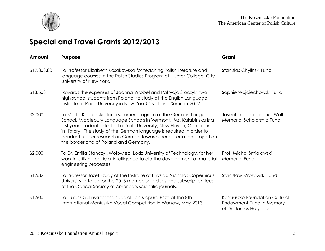

# **Special and Travel Grants 2012/2013**

| Amount      | Purpose                                                                                                                                                                                                                                                                                                                                                                                                     | Grant                                                                              |
|-------------|-------------------------------------------------------------------------------------------------------------------------------------------------------------------------------------------------------------------------------------------------------------------------------------------------------------------------------------------------------------------------------------------------------------|------------------------------------------------------------------------------------|
| \$17,803.80 | To Professor Elizabeth Kosakowska for teaching Polish literature and<br>language courses in the Polish Studies Program at Hunter College, City<br>University of New York.                                                                                                                                                                                                                                   | Stanislas Chylinski Fund                                                           |
| \$13,508    | Towards the expenses of Joanna Wrobel and Patrycja Sroczyk, two<br>high school students from Poland, to study at the English Language<br>Institute at Pace University in New York City during Summer 2012.                                                                                                                                                                                                  | Sophie Wojciechowski Fund                                                          |
| \$3,000     | To Marta Kalabinska for a summer program at the German Language<br>School, Middlebury Language Schools in Vermont. Ms. Kalabinska is a<br>first year graduate student at Yale University, New Haven, CT majoring<br>in History. The study of the German language is required in order to<br>conduct further research in German towards her dissertation project on<br>the borderland of Poland and Germany. | Josephine and Ignatius Wall<br>Memorial Scholarship Fund                           |
| \$2,000     | To Dr. Emilia Stanczyk Wolowiec, Lodz University of Technology, for her<br>work in utilizing artificial intelligence to aid the development of material<br>engineering processes.                                                                                                                                                                                                                           | Prof. Michal Smialowski<br><b>Memorial Fund</b>                                    |
| \$1,582     | To Professor Jozef Szudy of the Institute of Physics, Nicholas Copernicus<br>University in Torun for the 2013 membership dues and subscription fees<br>of the Optical Society of America's scientific journals.                                                                                                                                                                                             | Stanislaw Mrozowski Fund                                                           |
| \$1,500     | To Lukasz Golinski for the special Jan Kiepura Prize at the 8th<br>International Moniuszko Vocal Competition in Warsaw, May 2013.                                                                                                                                                                                                                                                                           | Kosciuszko Foundation Cultural<br>Endowment Fund In Memory<br>of Dr. James Hagadus |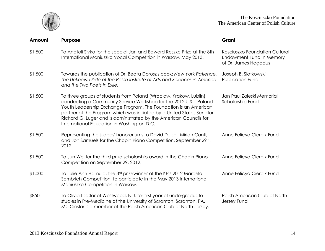

| Amount  | <b>Purpose</b>                                                                                                                                                                                                                                                                                                                                                                                            | Grant                                                                              |
|---------|-----------------------------------------------------------------------------------------------------------------------------------------------------------------------------------------------------------------------------------------------------------------------------------------------------------------------------------------------------------------------------------------------------------|------------------------------------------------------------------------------------|
| \$1,500 | To Anatoli Sivko for the special Jan and Edward Reszke Prize at the 8th<br>International Moniuszko Vocal Competition in Warsaw, May 2013.                                                                                                                                                                                                                                                                 | Kosciuszko Foundation Cultural<br>Endowment Fund In Memory<br>of Dr. James Hagadus |
| \$1,500 | Towards the publication of Dr. Beata Dorosz's book: New York Patience.<br>The Unknown Side of the Polish Institute of Arts and Sciences in America<br>and the Two Poets in Exile.                                                                                                                                                                                                                         | Joseph B. Slotkowski<br><b>Publication Fund</b>                                    |
| \$1,500 | To three groups of students from Poland (Wroclaw, Krakow, Lublin)<br>conducting a Community Service Workshop for the 2012 U.S. - Poland<br>Youth Leadership Exchange Program. The Foundation is an American<br>partner of the Program which was initiated by a United States Senator,<br>Richard G. Luger and is administrated by the American Councils for<br>International Education in Washington D.C. | Jan Paul Zaleski Memorial<br>Scholarship Fund                                      |
| \$1,500 | Representing the judges' honorariums to David Dubal, Mirian Conti,<br>and Jon Samuels for the Chopin Piano Competition, September 29th,<br>2012.                                                                                                                                                                                                                                                          | Anne Felicya Cierpik Fund                                                          |
| \$1,500 | To Jun Wei for the third prize scholarship award in the Chopin Piano<br>Competition on September 29, 2012.                                                                                                                                                                                                                                                                                                | Anne Felicya Cierpik Fund                                                          |
| \$1,000 | To Julie Ann Hamula, the 3rd prizewinner of the KF's 2012 Marcela<br>Sembrich Competition, to participate in the May 2013 International<br>Moniuszko Competition in Warsaw.                                                                                                                                                                                                                               | Anne Felicya Cierpik Fund                                                          |
| \$850   | To Olivia Cieslar of Westwood, N.J. for first year of undergraduate<br>studies in Pre-Medicine at the University of Scranton, Scranton, PA.<br>Ms. Cieslar is a member of the Polish American Club of North Jersey.                                                                                                                                                                                       | Polish American Club of North<br>Jersey Fund                                       |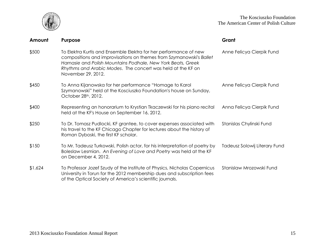

| Amount  | <b>Purpose</b>                                                                                                                                                                                                                                                                                | Grant                         |
|---------|-----------------------------------------------------------------------------------------------------------------------------------------------------------------------------------------------------------------------------------------------------------------------------------------------|-------------------------------|
| \$500   | To Elektra Kurtis and Ensemble Elektra for her performance of new<br>compositions and improvisations on themes from Szymanowski's Ballet<br>Harnasie and Polish Mountains Podhale, New York Beats, Greek<br>Rhythms and Arabic Modes. The concert was held at the KF on<br>November 29, 2012. | Anne Felicya Cierpik Fund     |
| \$450   | To Anna Kijanowska for her performance "Homage to Karol<br>Szymanowski" held at the Kosciuszko Foundation's house on Sunday,<br>October 28 <sup>th</sup> , 2012.                                                                                                                              | Anne Felicya Cierpik Fund     |
| \$400   | Representing an honorarium to Krystian Tkaczewski for his piano recital<br>held at the KF's House on September 16, 2012.                                                                                                                                                                      | Anna Felicya Cierpik Fund     |
| \$250   | To Dr. Tomasz Pudlocki, KF grantee, to cover expenses associated with<br>his travel to the KF Chicago Chapter for lectures about the history of<br>Roman Dyboski, the first KF scholar.                                                                                                       | Stanislas Chylinski Fund      |
| \$150   | To Mr. Tadeusz Turkowski, Polish actor, for his interpretation of poetry by<br>Boleslaw Lesmian. An Evening of Love and Poetry was held at the KF<br>on December 4, 2012.                                                                                                                     | Tadeusz Solowij Literary Fund |
| \$1,624 | To Professor Jozef Szudy of the Institute of Physics, Nicholas Copernicus<br>University in Torun for the 2012 membership dues and subscription fees<br>of the Optical Society of America's scientific journals.                                                                               | Stanislaw Mrozowski Fund      |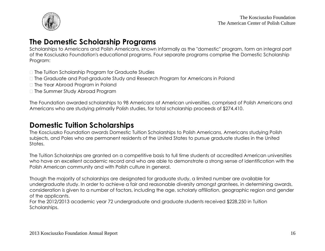

### **The Domestic Scholarship Programs**

Scholarships to Americans and Polish Americans, known informally as the "domestic" program, form an integral part of the Kosciuszko Foundation's educational programs. Four separate programs comprise the Domestic Scholarship Program:

- $\Box$  The Tuition Scholarship Program for Graduate Studies
- □ The Graduate and Post-graduate Study and Research Program for Americans in Poland
- □ The Year Abroad Program in Poland
- □ The Summer Study Abroad Program

The Foundation awarded scholarships to 98 Americans at American universities, comprised of Polish Americans and Americans who are studying primarily Polish studies, for total scholarship proceeds of \$274,410.

### **Domestic Tuition Scholarships**

The Kosciuszko Foundation awards Domestic Tuition Scholarships to Polish Americans, Americans studying Polish subjects, and Poles who are permanent residents of the United States to pursue graduate studies in the United States.

The Tuition Scholarships are granted on a competitive basis to full time students at accredited American universities who have an excellent academic record and who are able to demonstrate a strong sense of identification with the Polish American community and with Polish culture in general.

Though the majority of scholarships are designated for graduate study, a limited number are available for undergraduate study. In order to achieve a fair and reasonable diversity amongst grantees, in determining awards, consideration is given to a number of factors, including the age, scholarly affiliation, geographic region and gender of the applicants.

For the 2012/2013 academic year 72 undergraduate and graduate students received \$228,250 in Tuition Scholarships.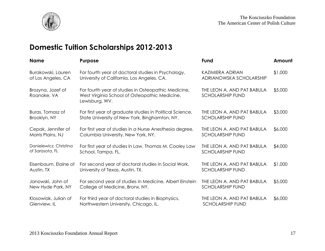

# **Domestic Tuition Scholarships 2012-2013**

| <b>Name</b>                      | <b>Purpose</b>                                                                                                         | Fund                                                  | Amount  |
|----------------------------------|------------------------------------------------------------------------------------------------------------------------|-------------------------------------------------------|---------|
| Burakowski, Lauren               | For fourth year of doctoral studies in Psychology,                                                                     | KAZIMIERA ADRIAN                                      | \$1,000 |
| of Los Angeles, CA               | University of California, Los Angeles, CA.                                                                             | ADRIANOWSKA SCHOLARSHIP                               |         |
| Brozyna, Jozef of<br>Roanoke, VA | For fourth year of studies in Osteopathic Medicine,<br>West Virginia School of Osteopathic Medicine,<br>Lewisburg, WV. | THE LEON A. AND PAT BABULA<br><b>SCHOLARSHIP FUND</b> | \$5,000 |
| Buras, Tomasz of                 | For first year of graduate studies in Political Science,                                                               | THE LEON A. AND PAT BABULA                            | \$3,000 |
| Brooklyn, NY                     | State University of New York, Binghamton, NY.                                                                          | <b>SCHOLARSHIP FUND</b>                               |         |
| Cepak, Jennifer of               | For first year of studies in a Nurse Anesthesia degree,                                                                | THE LEON A. AND PAT BABULA                            | \$6,000 |
| Morris Plains, NJ                | Columbia University, New York, NY.                                                                                     | <b>SCHOLARSHIP FUND</b>                               |         |
| Danielewicz, Christina           | For first year of studies in Law, Thomas M. Cooley Law                                                                 | THE LEON A. AND PAT BABULA                            | \$4,000 |
| of Sarasota, FL                  | School, Tampa, FL.                                                                                                     | <b>SCHOLARSHIP FUND</b>                               |         |
| Eisenbaum, Elaine of             | For second year of doctoral studies in Social Work,                                                                    | THE LEON A. AND PAT BABULA                            | \$1,000 |
| Austin, TX                       | University of Texas, Austin, TX.                                                                                       | <b>SCHOLARSHIP FUND</b>                               |         |
| Janowski, John of                | For second year of studies in Medicine, Albert Einstein                                                                | THE LEON A. AND PAT BABULA                            | \$5,000 |
| New Hyde Park, NY                | College of Medicine, Bronx, NY.                                                                                        | <b>SCHOLARSHIP FUND</b>                               |         |
| Klosowiak, Julian of             | For third year of doctoral studies in Biophysics,                                                                      | THE LEON A. AND PAT BABULA                            | \$6,000 |
| Glenview, IL                     | Northwestern University, Chicago, IL.                                                                                  | <b>SCHOLARSHIP FUND</b>                               |         |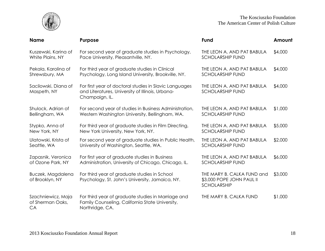

The Kosciuszko Foundation The American Center of Polish Culture

| <b>Name</b>                                  | Purpose                                                                                                                      | Fund                                                                          | Amount  |
|----------------------------------------------|------------------------------------------------------------------------------------------------------------------------------|-------------------------------------------------------------------------------|---------|
| Kuszewski, Karina of                         | For second year of graduate studies in Psychology,                                                                           | THE LEON A. AND PAT BABULA                                                    | \$4,000 |
| White Plains, NY                             | Pace University, Pleasantville, NY.                                                                                          | <b>SCHOLARSHIP FUND</b>                                                       |         |
| Pekala, Karolina of                          | For third year of graduate studies in Clinical                                                                               | THE LEON A. AND PAT BABULA                                                    | \$4,000 |
| Shrewsbury, MA                               | Psychology, Long Island University, Brookville, NY.                                                                          | <b>SCHOLARSHIP FUND</b>                                                       |         |
| Sacilowski, Diana of<br>Maspeth, NY          | For first year of doctoral studies in Slavic Languages<br>and Literatures, University of Illinois, Urbana-<br>Champaign, IL. | THE LEON A. AND PAT BABULA<br><b>SCHOLARSHIP FUND</b>                         | \$4,000 |
| Shulock, Adrian of                           | For second year of studies in Business Administration,                                                                       | THE LEON A. AND PAT BABULA                                                    | \$1,000 |
| Bellingham, WA                               | Western Washington University, Bellingham, WA.                                                                               | <b>SCHOLARSHIP FUND</b>                                                       |         |
| Stypko, Anna of                              | For third year of graduate studies in Film Directing,                                                                        | THE LEON A. AND PAT BABULA                                                    | \$5,000 |
| New York, NY                                 | New York University, New York, NY.                                                                                           | <b>SCHOLARSHIP FUND</b>                                                       |         |
| Ulatowski, Krista of                         | For second year of graduate studies in Public Health,                                                                        | THE LEON A. AND PAT BABULA                                                    | \$2,000 |
| Seattle, WA                                  | University of Washington, Seattle, WA.                                                                                       | <b>SCHOLARSHIP FUND</b>                                                       |         |
| Zapasnik, Veronica                           | For first year of graduate studies in Business                                                                               | THE LEON A. AND PAT BABULA                                                    | \$6,000 |
| of Ozone Park, NY                            | Administration, University of Chicago, Chicago, IL.                                                                          | <b>SCHOLARSHIP FUND</b>                                                       |         |
| Buczek, Magdalena<br>of Brooklyn, NY         | For third year of graduate studies in School<br>Psychology, St. John's University, Jamaica, NY.                              | THE MARY B. CALKA FUND and<br>\$3,000 POPE JOHN PAUL II<br><b>SCHOLARSHIP</b> | \$3,000 |
| Szachniewicz, Maja<br>of Sherman Oaks,<br>CA | For third year of graduate studies in Marriage and<br>Family Counseling, California State University,<br>Northridge, CA.     | THE MARY B. CALKA FUND                                                        | \$1,000 |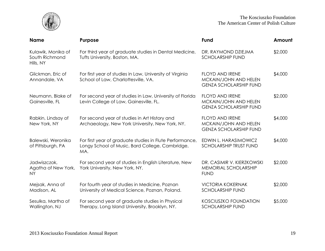

| <b>Name</b>                                       | <b>Purpose</b>                                                                                                     | <b>Fund</b>                                                                      | Amount  |
|---------------------------------------------------|--------------------------------------------------------------------------------------------------------------------|----------------------------------------------------------------------------------|---------|
| Kulawik, Monika of<br>South Richmond<br>Hills, NY | For third year of graduate studies in Dental Medicine,<br>Tufts University, Boston, MA.                            | DR. RAYMOND DZIEJMA<br><b>SCHOLARSHIP FUND</b>                                   | \$2,000 |
| Glickman, Eric of<br>Annandale, VA                | For first year of studies in Law, University of Virginia<br>School of Law, Charlottesville, VA.                    | <b>FLOYD AND IRENE</b><br>MCKAIN/JOHN AND HELEN<br><b>GENZA SCHOLARSHIP FUND</b> | \$4,000 |
| Neumann, Blake of<br>Gainesville, FL              | For second year of studies in Law, University of Florida<br>Levin College of Law, Gainesville, FL.                 | <b>FLOYD AND IRENE</b><br>MCKAIN/JOHN AND HELEN<br><b>GENZA SCHOLARSHIP FUND</b> | \$2,000 |
| Rabkin, Lindsay of<br>New York, NY                | For second year of studies in Art History and<br>Archaeology, New York University, New York, NY.                   | <b>FLOYD AND IRENE</b><br>MCKAIN/JOHN AND HELEN<br><b>GENZA SCHOLARSHIP FUND</b> | \$4,000 |
| Balewski, Weronika<br>of Pittsburgh, PA           | For first year of graduate studies in Flute Performance,<br>Longy School of Music, Bard College, Cambridge,<br>MA. | EDWIN L. HARASIMOWICZ<br><b>SCHOLARSHIP TRUST FUND</b>                           | \$4,000 |
| Jadwiszczok,<br>Agatha of New York,<br>NY.        | For second year of studies in English Literature, New<br>York University, New York, NY.                            | DR. CASIMIR V. KIERZKOWSKI<br>MEMORIAL SCHOLARSHIP<br><b>FUND</b>                | \$2,000 |
| Mejsak, Anna of<br>Madison, AL                    | For fourth year of studies in Medicine, Poznan<br>University of Medical Science, Poznan, Poland.                   | <b>VICTORIA KOKERNAK</b><br><b>SCHOLARSHIP FUND</b>                              | \$2,000 |
| Sesulka, Martha of<br>Wallington, NJ              | For second year of graduate studies in Physical<br>Therapy, Long Island University, Brooklyn, NY.                  | <b>KOSCIUSZKO FOUNDATION</b><br><b>SCHOLARSHIP FUND</b>                          | \$5,000 |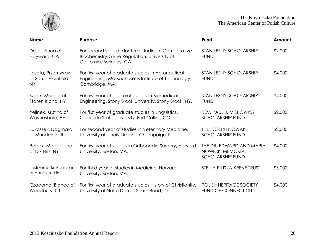

| <b>Name</b>                                             | Purpose                                                                                                                        | Fund                                                                           | Amount  |
|---------------------------------------------------------|--------------------------------------------------------------------------------------------------------------------------------|--------------------------------------------------------------------------------|---------|
| Desai, Anna of<br>Hayward, CA                           | For second year of doctoral studies in Comparative<br>Biochemistry-Gene Regulation, University of<br>California, Berkeley, CA. | STAN LESNY SCHOLARSHIP<br><b>FUND</b>                                          | \$2,000 |
| Lasota, Przemyslaw<br>of South Plainfield,<br><b>NY</b> | For first year of graduate studies in Aeronautical<br>Engineering, Massachusetts Institute of Technology,<br>Cambridge, MA.    | <b>STAN LESNY SCHOLARSHIP</b><br><b>FUND</b>                                   | \$4,000 |
| Szenk, Mariola of<br>Staten Island, NY                  | For first year of doctoral studies in Biomedical<br>Engineering, Stony Brook University, Stony Brook, NY.                      | <b>STAN LESNY SCHOLARSHIP</b><br><b>FUND</b>                                   | \$4,000 |
| Yelinek, Kristina of<br>Waynesboro, PA                  | For first year of graduate studies in Linguistics,<br>Colorado State University, Fort Collins, CO.                             | REV. PAUL J. MISKOWICZ<br><b>SCHOLARSHIP FUND</b>                              | \$2,000 |
| Lukaszek, Dagmara<br>of Mundelein, IL                   | For second year of studies in Veterinary Medicine,<br>University of Illinois, Urbana-Champaign, IL.                            | THE JOSEPH NOWAK<br><b>SCHOLARSHIP FUND</b>                                    | \$2,000 |
| Robak, Magdalena<br>of Dix Hills, NY                    | For first year of studies in Orthopedic Surgery, Harvard<br>University, Boston, MA.                                            | THE DR. EDWARD AND MARIA<br><b>NOWICKI MEMORIAL</b><br><b>SCHOLARSHIP FUND</b> | \$4,000 |
| Jastrzembski, Benjamin<br>of Hanover, NH                | For third year of studies in Medicine, Harvard<br>University, Boston, MA.                                                      | STELLA PINSKA-KEENE TRUST                                                      | \$5,000 |
| Czaderna, Bianca of<br>Woodbury, CT                     | For first year of graduate studies History of Christianity,<br>University of Notre Dame, South Bend, IN.                       | POLISH HERITAGE SOCIETY<br><b>FUND OF CONNECTICUT</b>                          | \$4,000 |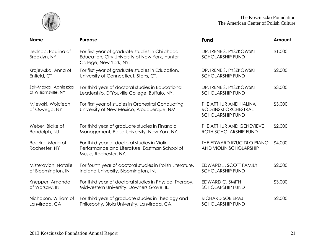

| <b>Name</b>                         | Purpose                                                                                                                     | <b>Fund</b>                                                              | Amount  |
|-------------------------------------|-----------------------------------------------------------------------------------------------------------------------------|--------------------------------------------------------------------------|---------|
| Jednac, Paulina of<br>Brooklyn, NY  | For first year of graduate studies in Childhood<br>Education, City University of New York, Hunter<br>College, New York, NY. | DR. IRENE S. PYSZKOWSKI<br><b>SCHOLARSHIP FUND</b>                       | \$1,000 |
| Krajewska, Anna of                  | For first year of graduate studies in Education,                                                                            | DR. IRENE S. PYSZKOWSKI                                                  | \$2,000 |
| Enfield, CT                         | University of Connecticut, Storrs, CT.                                                                                      | <b>SCHOLARSHIP FUND</b>                                                  |         |
| Zak-Moskal, Agnieszka               | For third year of doctoral studies in Educational                                                                           | DR. IRENE S. PYSZKOWSKI                                                  | \$3,000 |
| of Williamsville, NY                | Leadership, D'Youville College, Buffalo, NY.                                                                                | <b>SCHOLARSHIP FUND</b>                                                  |         |
| Milewski, Wojciech<br>of Oswego, NY | For first year of studies in Orchestral Conducting,<br>University of New Mexico, Albuquerque, NM.                           | THE ARTHUR AND HALINA<br>RODZINSKI ORCHESTRAL<br><b>SCHOLARSHIP FUND</b> | \$3,000 |
| Weber, Blake of                     | For third year of graduate studies in Financial                                                                             | THE ARTHUR AND GENEVIEVE                                                 | \$2,000 |
| Randolph, NJ                        | Management, Pace University, New York, NY.                                                                                  | ROTH SCHOLARSHIP FUND                                                    |         |
| Raczka, Maria of<br>Rochester, NY   | For third year of doctoral studies in Violin<br>Performance and Literature, Eastman School of<br>Music, Rochester, NY.      | THE EDWARD RZUCIDLO PIANO<br>AND VIOLIN SCHOLARSHIP                      | \$4,000 |
| Misteravich, Natalie                | For fourth year of doctoral studies in Polish Literature,                                                                   | EDWARD J. SCOTT FAMILY                                                   | \$2,000 |
| of Bloomington, IN                  | Indiana University, Bloomington, IN.                                                                                        | <b>SCHOLARSHIP FUND</b>                                                  |         |
| Knepper, Amanda                     | For third year of doctoral studies in Physical Therapy,                                                                     | EDWARD C. SMITH                                                          | \$3,000 |
| of Warsaw, IN                       | Midwestern University, Downers Grove, IL.                                                                                   | <b>SCHOLARSHIP FUND</b>                                                  |         |
| Nicholson, William of               | For third year of graduate studies in Theology and                                                                          | RICHARD SOBIERAJ                                                         | \$2,000 |
| La Mirada, CA                       | Philosophy, Biola University, La Mirada, CA.                                                                                | <b>SCHOLARSHIP FUND</b>                                                  |         |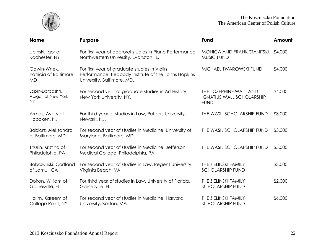

| <b>Name</b>                                           | <b>Purpose</b>                                                                                                                    | Fund                                                                      | Amount  |
|-------------------------------------------------------|-----------------------------------------------------------------------------------------------------------------------------------|---------------------------------------------------------------------------|---------|
| Lipinski, Igor of<br>Rochester, NY                    | For first year of doctoral studies in Piano Performance,<br>Northwestern University, Evanston, IL.                                | MONICA AND FRANK STANITSKI<br>MUSIC FUND                                  | \$4,000 |
| Gawin-Wnek,<br>Patricia of Baltimore,<br><b>MD</b>    | For first year of graduate studies in Violin<br>Performance, Peabody Institute of the Johns Hopkins<br>University, Baltimore, MD. | MICHAEL TWAROWSKI FUND                                                    | \$4,000 |
| Lapin-Dardashti,<br>Abigail of New York,<br><b>NY</b> | For second year of graduate studies in Art History,<br>New York University, NY.                                                   | THE JOSEPHINE WALL AND<br><b>IGNATIUS WALL SCHOLARSHIP</b><br><b>FUND</b> | \$4,000 |
| Armas, Avery of<br>Hoboken, NJ                        | For third year of studies in Law, Rutgers University,<br>Newark, NJ.                                                              | THE WASIL SCHOLARSHIP FUND                                                | \$3,000 |
| Babiarz, Aleksandra<br>of Baltimore, MD               | For second year of studies in Medicine, University of<br>Maryland, Baltimore, MD.                                                 | THE WASIL SCHOLARSHIP FUND                                                | \$3,000 |
| Thurin, Kristina of<br>Philadelphia, PA               | For second year of studies in Medicine, Jefferson<br>Medical College, Philadelphia, PA.                                           | THE WASIL SCHOLARSHIP FUND                                                | \$5,000 |
| Bobczynski, Cortland<br>of Jamul, CA                  | For second year of studies in Law, Regent University,<br>Virginia Beach, VA.                                                      | THE ZIELINSKI FAMILY<br><b>SCHOLARSHIP FUND</b>                           | \$3,000 |
| Doiron, William of<br>Gainesville, FL                 | For third year of studies in Law, University of Florida,<br>Gainesville, FL.                                                      | THE ZIELINSKI FAMILY<br><b>SCHOLARSHIP FUND</b>                           | \$2,000 |
| Halim, Kareem of<br>College Point, NY                 | For second year of studies in Medicine, Harvard<br>University, Boston, MA.                                                        | THE ZIELINSKI FAMILY<br><b>SCHOLARSHIP FUND</b>                           | \$6,000 |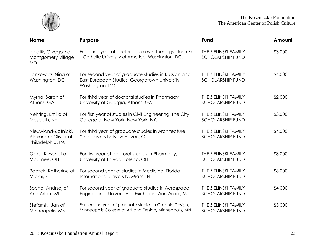

| <b>Name</b>                                                      | Purpose                                                                                                                | Fund                                            | Amount  |
|------------------------------------------------------------------|------------------------------------------------------------------------------------------------------------------------|-------------------------------------------------|---------|
| Ignatik, Grzegorz of<br>Montgomery Village,<br><b>MD</b>         | For fourth year of doctoral studies in Theology, John Paul<br>Il Catholic University of America, Washington, DC.       | THE ZIELINSKI FAMILY<br><b>SCHOLARSHIP FUND</b> | \$3,000 |
| Jankowicz, Nina of<br>Washington, DC                             | For second year of graduate studies in Russian and<br>East European Studies, Georgetown University,<br>Washington, DC. | THE ZIELINSKI FAMILY<br><b>SCHOLARSHIP FUND</b> | \$4,000 |
| Myrna, Sarah of                                                  | For third year of doctoral studies in Pharmacy,                                                                        | THE ZIELINSKI FAMILY                            | \$2,000 |
| Athens, GA                                                       | University of Georgia, Athens, GA.                                                                                     | <b>SCHOLARSHIP FUND</b>                         |         |
| Nehring, Emilia of                                               | For first year of studies in Civil Engineering, The City                                                               | THE ZIELINSKI FAMILY                            | \$3,000 |
| Maspeth, NY                                                      | College of New York, New York, NY.                                                                                     | <b>SCHOLARSHIP FUND</b>                         |         |
| Nieuwland-Zlotnicki,<br>Alexander Olivier of<br>Philadelphia, PA | For third year of graduate studies in Architecture,<br>Yale University, New Haven, CT.                                 | THE ZIELINSKI FAMILY<br><b>SCHOLARSHIP FUND</b> | \$4,000 |
| Ozga, Krzysztof of                                               | For first year of doctoral studies in Pharmacy,                                                                        | THE ZIELINSKI FAMILY                            | \$3,000 |
| Maumee, OH                                                       | University of Toledo, Toledo, OH.                                                                                      | <b>SCHOLARSHIP FUND</b>                         |         |
| Raczek, Katherine of                                             | For second year of studies in Medicine, Florida                                                                        | THE ZIELINSKI FAMILY                            | \$6,000 |
| Miami, FL                                                        | International University, Miami, FL.                                                                                   | <b>SCHOLARSHIP FUND</b>                         |         |
| Socha, Andrzej of                                                | For second year of graduate studies in Aerospace                                                                       | THE ZIELINSKI FAMILY                            | \$4,000 |
| Ann Arbor, MI                                                    | Engineering, University of Michigan, Ann Arbor, MI.                                                                    | <b>SCHOLARSHIP FUND</b>                         |         |
| Stefanski, Jan of                                                | For second year of graduate studies in Graphic Design,                                                                 | THE ZIELINSKI FAMILY                            | \$3,000 |
| Minneapolis, MN                                                  | Minneapolis College of Art and Design, Minneapolis, MN.                                                                | <b>SCHOLARSHIP FUND</b>                         |         |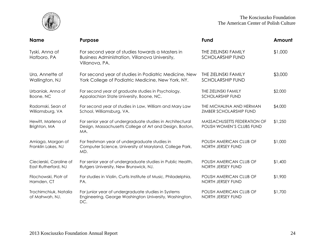

| <b>Name</b>                             | <b>Purpose</b>                                                                                                               | <b>Fund</b>                                              | Amount  |
|-----------------------------------------|------------------------------------------------------------------------------------------------------------------------------|----------------------------------------------------------|---------|
| Tyski, Anna of<br>Hatboro, PA           | For second year of studies towards a Masters in<br>Business Administration, Villanova University,<br>Villanova, PA.          | THE ZIELINSKI FAMILY<br><b>SCHOLARSHIP FUND</b>          | \$1,000 |
| Ura, Annette of                         | For second year of studies in Podiatric Medicine, New                                                                        | THE ZIELINSKI FAMILY                                     | \$3,000 |
| Wallington, NJ                          | York College of Podiatric Medicine, New York, NY.                                                                            | <b>SCHOLARSHIP FUND</b>                                  |         |
| Urbaniak, Anna of                       | For second year of graduate studies in Psychology,                                                                           | THE ZIELINSKI FAMILY                                     | \$2,000 |
| Boone, NC                               | Appalachian State University, Boone, NC.                                                                                     | <b>SCHOLARSHIP FUND</b>                                  |         |
| Radomski, Sean of                       | For second year of studies in Law, William and Mary Law                                                                      | THE MICHALINA AND HERMAN                                 | \$4,000 |
| Williamsburg, VA                        | School, Williamsburg, VA.                                                                                                    | ZIMBER SCHOLARSHIP FUND                                  |         |
| Hewitt, Marlena of<br>Brighton, MA      | For senior year of undergraduate studies in Architectural<br>Design, Massachusetts College of Art and Design, Boston,<br>MA. | MASSACHUSETTS FEDERATION OF<br>POLISH WOMEN'S CLUBS FUND | \$1,250 |
| Amiaga, Morgan of<br>Franklin Lakes, NJ | For freshman year of undergraduate studies in<br>Computer Science, University of Maryland, College Park,<br>MD.              | POLISH AMERICAN CLUB OF<br>NORTH JERSEY FUND             | \$1,000 |
| Ciecierski, Caroline of                 | For senior year of undergraduate studies in Public Health,                                                                   | POLISH AMERICAN CLUB OF                                  | \$1,400 |
| East Rutherford, NJ                     | Rutgers University, New Brunswick, NJ.                                                                                       | NORTH JERSEY FUND                                        |         |
| Filochowski, Piotr of                   | For studies in Violin, Curtis Institute of Music, Philadelphia,                                                              | POLISH AMERICAN CLUB OF                                  | \$1,900 |
| Hamden, CT                              | PA.                                                                                                                          | NORTH JERSEY FUND                                        |         |
| Trochimchiuk, Natalia<br>of Mahwah, NJ. | For junior year of undergraduate studies in Systems<br>Engineering, George Washington University, Washington,<br>DC.         | POLISH AMERICAN CLUB OF<br>NORTH JERSEY FUND             | \$1,700 |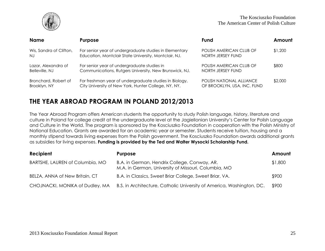

| <b>Name</b>             | <b>Purpose</b>                                         | <b>Fund</b>                 | Amount  |
|-------------------------|--------------------------------------------------------|-----------------------------|---------|
| Wis, Sandra of Clifton, | For senior year of undergraduate studies in Elementary | POLISH AMERICAN CLUB OF     | \$1,200 |
| NJ                      | Education, Montclair State University, Montclair, NJ.  | NORTH JERSEY FUND           |         |
| Lazar, Alexandra of     | For senior year of undergraduate studies in            | POLISH AMERICAN CLUB OF     | \$800   |
| Belleville, NJ          | Communications, Rutgers University, New Brunswick, NJ. | NORTH JERSEY FUND           |         |
| Bronchard, Robert of    | For freshman year of undergraduate studies in Biology, | POLISH NATIONAL ALLIANCE    | \$2,000 |
| Brooklyn, NY            | City University of New York, Hunter College, NY, NY.   | OF BROOKLYN, USA, INC. FUND |         |

### **THE YEAR ABROAD PROGRAM IN POLAND 2012/2013**

The Year Abroad Program offers American students the opportunity to study Polish language, history, literature and culture in Poland for college credit at the undergraduate level at the Jagiellonian University's Center for Polish Language and Culture in the World. The program is sponsored by the Kosciuszko Foundation in cooperation with the Polish Ministry of National Education. Grants are awarded for an academic year or semester. Students receive tuition, housing and a monthly stipend towards living expenses from the Polish government. The Kosciuszko Foundation awards additional grants as subsidies for living expenses. **Funding is provided by the Ted and Walter Wysocki Scholarship Fund.**

| Recipient                       | <b>Purpose</b>                                                                                       | Amount  |
|---------------------------------|------------------------------------------------------------------------------------------------------|---------|
| BARTSHE, LAUREN of Columbia, MO | B.A. in German, Hendrix College, Conway, AR.<br>M.A. in German, University of Missouri, Columbia, MO | \$1,800 |
| BELZA, ANNA of New Britain, CT  | B.A. in Classics, Sweet Briar College, Sweet Briar, VA.                                              | \$900   |
| CHOJNACKI, MONIKA of Dudley, MA | B.S. in Architecture, Catholic University of America, Washington, DC.                                | \$900   |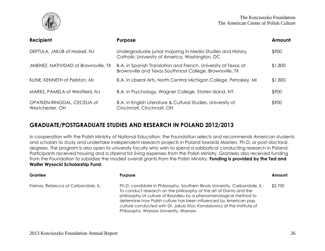

| Recipient                                      | <b>Purpose</b>                                                                                                             | Amount  |
|------------------------------------------------|----------------------------------------------------------------------------------------------------------------------------|---------|
| DEPTULA, JAKUB of Haskell, NJ                  | Undergraduate junior majoring in Media Studies and History,<br>Catholic University of America, Washington, DC              | \$900   |
| JIMENEZ, NATIVIDAD of Brownsville, TX          | B.A. in Spanish Translation and French, University of Texas at<br>Brownsville and Texas Southmost College, Brownsville, TX | \$1,800 |
| KLINE, KENNETH of Pellston, MI                 | B.A. in Liberal Arts, North Central Michigan College, Petoskey, MI                                                         | \$1,800 |
| MARKS, PAMELA of Westfield, NJ                 | B.A. in Psychology, Wagner College, Staten Island, NY.                                                                     | \$900   |
| OPATKEN-RINGDAL, CECELIA of<br>Westchester, OH | B.A. in English Literature & Cultural Studies, University of<br>Cincinnati, Cincinnati, OH                                 | \$900   |

#### **GRADUATE/POSTGRADUATE STUDIES AND RESEARCH IN POLAND 2012/2013**

In cooperation with the Polish Ministry of National Education, the Foundation selects and recommends American students and scholars to study and undertake independent research projects in Poland towards Masters, Ph.D. or post-doctoral degrees. The program is also open to university faculty who wish to spend a sabbatical conducting research in Poland. Participants received housing and a stipend for living expenses from the Polish Ministry. Grantees also received funding from the Foundation to subsidize the modest overall grants from the Polish Ministry. **Funding is provided by the Ted and Walter Wysocki Scholarship Fund.**

| Grantee                             | <b>Purpose</b>                                                                                                                                                                                                                                                                                                                                                                                                 | Amount  |
|-------------------------------------|----------------------------------------------------------------------------------------------------------------------------------------------------------------------------------------------------------------------------------------------------------------------------------------------------------------------------------------------------------------------------------------------------------------|---------|
| Farinas, Rebecca of Carbondale, IL. | Ph.D. candidate in Philosophy, Southern Illinois University, Carbondale, IL -<br>To conduct research on the philosophy of the art of Danto and the<br>philosophy of culture of Bourdieu by a phenomenological method to<br>determine how Polish culture has been influenced by American pop<br>culture conducted with Dr. Jakub Kloc-Kondolowicz at the Institute of<br>Philosophy, Warsaw University, Warsaw. | \$2,700 |
|                                     |                                                                                                                                                                                                                                                                                                                                                                                                                |         |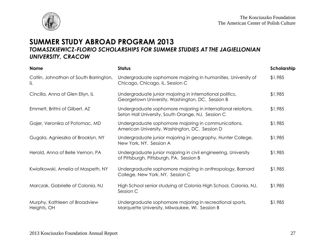

### **SUMMER STUDY ABROAD PROGRAM 2013** *TOMASZKIEWICZ-FLORIO SCHOLARSHIPS FOR SUMMER STUDIES AT THE JAGIELLONIAN UNIVERSITY, CRACOW*

| <b>Name</b>                                  | <b>Status</b>                                                                                                      | Scholarship |
|----------------------------------------------|--------------------------------------------------------------------------------------------------------------------|-------------|
| Catlin, Johnathan of South Barrington,<br>IL | Undergraduate sophomore majoring in humanities, University of<br>Chicago, Chicago. IL. Session C                   | \$1,985     |
| Cincilla, Anna of Glen Ellyn, IL             | Undergraduate junior majoring in international politics,<br>Georgetown University, Washington, DC. Session B       | \$1,985     |
| Emmett, Brittni of Gilbert, AZ               | Undergraduate sophomore majoring in international relations,<br>Seton Hall University, South Orange, NJ. Session C | \$1,985     |
| Gajer, Veronika of Potomac, MD               | Undergraduate sophomore majoring in communications,<br>American University, Washington, DC. Session D              | \$1,985     |
| Gugala, Agnieszka of Brooklyn, NY            | Undergraduate junior majoring in geography, Hunter College,<br>New York, NY. Session A                             | \$1,985     |
| Herold, Anna of Belle Vernon, PA             | Undergraduate junior majoring in civil engineering, University<br>of Pittsburgh, Pittsburgh, PA. Session B         | \$1,985     |
| Kwiatkowski, Amelia of Maspeth, NY           | Undergraduate sophomore majoring in anthropology, Barnard<br>College, New York, NY. Session C                      | \$1,985     |
| Marczak, Gabrielle of Colonia, NJ            | High School senior studying at Colonia High School, Colonia, NJ.<br>Session C                                      | \$1,985     |
| Murphy, Kathleen of Broadview<br>Heights, OH | Undergraduate sophomore majoring in recreational sports,<br>Marquette University, Milwaukee, WI. Session B         | \$1,985     |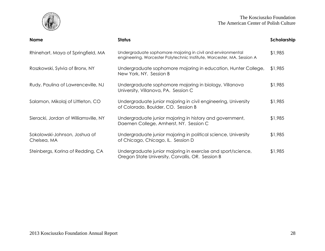

| <b>Name</b>                                  | <b>Status</b>                                                                                                                         | Scholarship |
|----------------------------------------------|---------------------------------------------------------------------------------------------------------------------------------------|-------------|
| Rhinehart, Maya of Springfield, MA           | Undergraduate sophomore majoring in civil and environmental<br>engineering, Worcester Polytechnic Institute, Worcester, MA. Session A | \$1,985     |
| Roszkowski, Sylvia of Bronx, NY              | Undergraduate sophomore majoring in education, Hunter College,<br>New York, NY. Session B                                             | \$1,985     |
| Rudy, Paulina of Lawrenceville, NJ           | Undergraduate sophomore majoring in biology, Villanova<br>University, Villanova, PA. Session C                                        | \$1,985     |
| Salamon, Mikolaj of Littleton, CO            | Undergraduate junior majoring in civil engineering, University<br>of Colorado, Boulder, CO. Session B                                 | \$1,985     |
| Sieracki, Jordan of Williamsville, NY        | Undergraduate junior majoring in history and government,<br>Daemen College, Amherst, NY. Session C                                    | \$1,985     |
| Sokolowski-Johnson, Joshua of<br>Chelsea, MA | Undergraduate junior majoring in political science, University<br>of Chicago, Chicago, IL. Session D                                  | \$1,985     |
| Steinbergs, Korina of Redding, CA            | Undergraduate junior majoring in exercise and sport/science,<br>Oregon State University, Corvallis, OR. Session B                     | \$1,985     |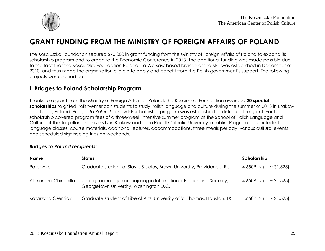

## **GRANT FUNDING FROM THE MINISTRY OF FOREIGN AFFAIRS OF POLAND**

The Kosciuszko Foundation secured \$70,000 in grant funding from the Ministry of Foreign Affairs of Poland to expand its scholarship program and to organize the Economic Conference in 2013. The additional funding was made possible due to the fact that the Kosciuszko Foundation Poland – a Warsaw based branch of the KF - was established in December of 2010, and thus made the organization eligible to apply and benefit from the Polish government's support. The following projects were carried out:

#### **I. Bridges to Poland Scholarship Program**

Thanks to a grant from the Ministry of Foreign Affairs of Poland, the Kosciuszko Foundation awarded **20 special scholarships** to gifted Polish-American students to study Polish language and culture during the summer of 2013 in Krakow and Lublin, Poland. *Bridges to Poland*, a new KF scholarship program was established to distribute the grant. Each scholarship covered program fees of a three-week intensive summer program at the School of Polish Language and Culture at the Jagiellonian University in Krakow and John Paul II Catholic University in Lublin. Program fees included language classes, course materials, additional lectures, accommodations, three meals per day, various cultural events and scheduled sightseeing trips on weekends.

#### *Bridges to Poland recipients:*

| <b>Name</b>          | <b>Status</b>                                                                                                   | Scholarship                  |
|----------------------|-----------------------------------------------------------------------------------------------------------------|------------------------------|
| Peter Axer           | Graduate student of Slavic Studies, Brown University, Providence, RI.                                           | 4,650PLN (c. $\sim$ \$1,525) |
| Alexandra Chinchilla | Undergraduate junior majoring in International Politics and Security,<br>Georgetown University, Washington D.C. | 4,650PLN (c. $\sim$ \$1,525) |
| Katarzyna Czerniak   | Graduate student of Liberal Arts, University of St. Thomas, Houston, TX.                                        | 4,650PLN (c. $\sim$ \$1,525) |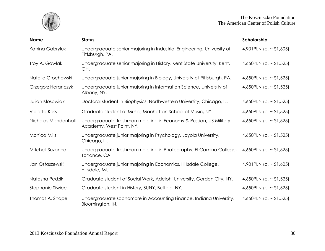

| <b>Name</b>          | <b>Status</b>                                                                                 | Scholarship                  |
|----------------------|-----------------------------------------------------------------------------------------------|------------------------------|
| Katrina Gabryluk     | Undergraduate senior majoring in Industrial Engineering, University of<br>Pittsburgh, PA.     | 4,901PLN (c. $\sim$ \$1,605) |
| Troy A. Gawlak       | Undergraduate senior majoring in History, Kent State University, Kent,<br>OH.                 | 4,650PLN (c. $\sim$ \$1,525) |
| Natalie Grochowski   | Undergraduate junior majoring in Biology, University of Pittsburgh, PA.                       | 4,650PLN (c. $\sim$ \$1,525) |
| Grzegorz Haranczyk   | Undergraduate junior majoring in Information Science, University of<br>Albany, NY.            | 4,650PLN (c. $\sim$ \$1,525) |
| Julian Klosowiak     | Doctoral student in Biophysics, Northwestern University, Chicago, IL.                         | 4,650PLN (c. $\sim$ \$1,525) |
| <b>Violetta Koss</b> | Graduate student of Music, Manhattan School of Music, NY.                                     | 4,650PLN (c. ~ \$1,525)      |
| Nicholas Mendenhall  | Undergraduate freshman majoring in Economy & Russian, US Military<br>Academy, West Point, NY. | 4,650PLN (c. ~ $$1,525$ )    |
| Monica Mills         | Undergraduate junior majoring in Psychology, Loyola University,<br>Chicago, IL.               | 4,650PLN (c. ~ \$1,525)      |
| Mitchell Suzanne     | Undergraduate freshman majoring in Photography, El Camino College,<br>Torrance, CA.           | 4,650PLN (c. $\sim$ \$1,525) |
| Jan Ostaszewski      | Undergraduate junior majoring in Economics, Hillsdale College,<br>Hillsdale, MI.              | 4,901PLN (c. $\sim$ \$1,605) |
| Natasha Pedzik       | Graduate student of Social Work, Adelphi University, Garden City, NY.                         | 4,650PLN (c. ~ \$1,525)      |
| Stephanie Siwiec     | Graduate student in History, SUNY, Buffalo, NY.                                               | 4,650PLN (c. ~ \$1,525)      |
| Thomas A. Snape      | Undergraduate sophomore in Accounting Finance, Indiana University,<br>Bloomington, IN.        | 4,650PLN (c. ~ \$1,525)      |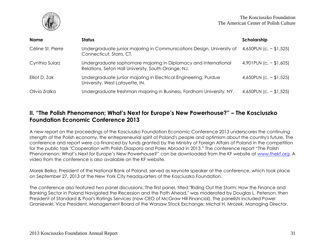

| <b>Name</b>       | <b>Status</b>                                                                                                          | Scholarship                  |
|-------------------|------------------------------------------------------------------------------------------------------------------------|------------------------------|
| Céline St. Pierre | Undergraduate junior majoring in Communications Design, University of<br>Connecticut, Storrs, CT.                      | 4,650PLN (c. $\sim$ \$1,525) |
| Cynthia Sularz    | Undergraduate sophomore majoring in Diplomacy and International<br>Relations, Seton Hall University, South Orange, NJ. | 4,901PLN (c. $\sim$ \$1,605) |
| Elliot D. Zak     | Undergraduate junior majoring in Electrical Engineering, Purdue<br>University, West Lafayette, IN.                     | 4,650PLN (c. $\sim$ \$1,525) |
| Olivia Zralka     | Undergraduate freshman majoring in Business, Fordham University, NY.                                                   | 4,650PLN (c. $\sim$ \$1,525) |

#### **II. "The Polish Phenomenon; What's Next for Europe's New Powerhouse?" – The Kosciuszko Foundation Economic Conference 2013**

A new report on the proceedings of the Kosciuszko Foundation Economic Conference 2013 underscores the continuing strength of the Polish economy, the entrepreneurial spirit of Poland's people and optimism about the country's future. The conference and report were co-financed by funds granted by the Ministry of Foreign Affairs of Poland in the competition for the public task "Cooperation with Polish Diaspora and Poles Abroad in 2013." The conference report "The Polish Phenomenon; What's Next for Europe's New Powerhouse?" can be downloaded from the KF website at [www.thekf.org.](http://www.thekf.org/) A video from the conference is also available on the KF website.

Marek Belka, President of the National Bank of Poland, served as keynote speaker at the conference, which took place on September 27, 2013 at the New York City headquarters of the Kosciuszko Foundation.

The conference also featured two panel discussions. The first panel, titled "Riding Out the Storm: How the Finance and Banking Sector in Poland Navigated the Recession and the Path Ahead," was moderated by Douglas L. Peterson, then President of Standard & Poor's Ratings Services (now CEO of McGraw Hill Financial). The panelists included Pawel Graniewski, Vice President, Management Board of the Warsaw Stock Exchange; Michal H. Mrozek, Managing Director,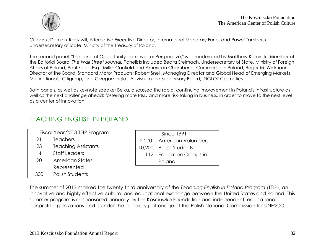

Citibank; Dominik Radziwill, Alternative Executive Director, International Monetary Fund; and Pawel Tamborski, Undersecretary of State, Ministry of the Treasury of Poland.

The second panel, "The Land of Opportunity—an Investor Perspective," was moderated by Matthew Kaminski, Member of the Editorial Board, *The Wall Street Journal.* Panelists included Beata Stelmach, Undersecretary of State, Ministry of Foreign Affairs of Poland; Paul Fogo, Esq., Miller Canfield and American Chamber of Commerce in Poland; Roger M. Widmann, Director of the Board, Standard Motor Products; Robert Snell, Managing Director and Global Head of Emerging Markets Multinationals, Citigroup; and Grzegorz Inglot, Advisor to the Supervisory Board, INGLOT Cosmetics.

Both panels, as well as keynote speaker Belka, discussed the rapid, continuing improvement in Poland's infrastructure as well as the next challenge ahead: fostering more R&D and more risk-taking in business, in order to move to the next level as a center of innovation.

### TEACHING ENGLISH IN POLAND

| Fiscal Year 2013 TEIP Program |                            |
|-------------------------------|----------------------------|
| 21                            | <b>Teachers</b>            |
| 23                            | <b>Teaching Assistants</b> |
| 4                             | <b>Staff Leaders</b>       |
| 20                            | American States            |
|                               | Represented                |

300 Polish Students

| Since 1991                |
|---------------------------|
| 2,200 American Volunteers |
| 10,200 Polish Students    |
| 112 Education Camps in    |
| Poland                    |
|                           |

The summer of 2013 marked the twenty-third anniversary of the *Teaching English in Poland Program* (TEIP), an innovative and highly effective cultural and educational exchange between the United States and Poland. This summer program is cosponsored annually by the Kosciuszko Foundation and independent, educational, nonprofit organizations and is under the honorary patronage of the Polish National Commission for UNESCO.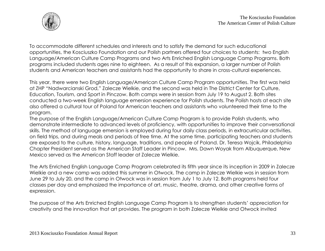

To accommodate different schedules and interests and to satisfy the demand for such educational opportunities, the Kosciuszko Foundation and our Polish partners offered four choices to students: two English Language/American Culture Camp Programs and two Arts Enriched English Language Camp Programs. Both programs included students ages nine to eighteen. As a result of this expansion, a larger number of Polish students and American teachers and assistants had the opportunity to share in cross-cultural experiences.

This year, there were two English Language/American Culture Camp Program opportunities. The first was held at ZHP "Nadwarcianski Grod," Zalecze Wielkie, and the second was held in The District Center for Culture, Education, Tourism, and Sport in Pinczow. Both camps were in session from July 19 to August 2. Both sites conducted a two-week English language emersion experience for Polish students. The Polish hosts at each site also offered a cultural tour of Poland for American teachers and assistants who volunteered their time to the program.

The purpose of the English Language/American Culture Camp Program is to provide Polish students, who demonstrate intermediate to advanced levels of proficiency, with opportunities to improve their conversational skills. The method of language emersion is employed during four daily class periods, in extracurricular activities, on field trips, and during meals and periods of free time. At the same time, participating teachers and students are exposed to the culture, history, language, traditions, and people of Poland. Dr. Teresa Wojcik, Philadelphia Chapter President served as the American Staff Leader in Pincow. Mrs. Dawn Woyak from Albuquerque, New Mexico served as the American Staff leader at Zalecze Wielkie.

The Arts Enriched English Language Camp Program celebrated its fifth year since its inception in 2009 in Zalecze Wielkie and a new camp was added this summer in Otwock. The camp in Zalecze Wielkie was in session from June 29 to July 20, and the camp in Otwock was in session from July 1 to July 12. Both programs held four classes per day and emphasized the importance of art, music, theatre, drama, and other creative forms of expression.

The purpose of the Arts Enriched English Language Camp Program is to strengthen students' appreciation for creativity and the innovation that art provides. The program in both Zalecze Wielkie and Otwock invited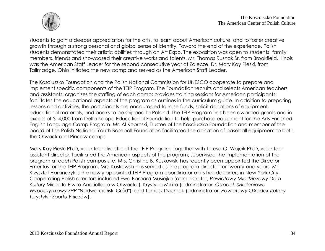

students to gain a deeper appreciation for the arts, to learn about American culture, and to foster creative growth through a strong personal and global sense of identity. Toward the end of the experience, Polish students demonstrated their artistic abilities through an Art Expo. The exposition was open to students' family members, friends and showcased their creative works and talents. Mr. Thomas Rusnak Sr. from Brookfield, Illinois was the American Staff Leader for the second consecutive year at Zalecze. Dr. Mary Kay Pieski, from Tallmadge, Ohio initiated the new camp and served as the American Staff Leader.

The Kosciuszko Foundation and the Polish National Commission for UNESCO cooperate to prepare and implement specific components of the TEIP Program. The Foundation recruits and selects American teachers and assistants; organizes the staffing of each camp; provides training sessions for American participants; facilitates the educational aspects of the program as outlines in the curriculum guide. In addition to preparing lessons and activities, the participants are encouraged to raise funds, solicit donations of equipment, educational materials, and books to be shipped to Poland. The TEIP Program has been awarded grants and in excess of \$14,000 from Delta Kappa Educational Foundation to help purchase equipment for the Arts Enriched English Language Camp Program. Mr. Al Koproski, Trustee of the Kosciuszko Foundation and member of the board of the Polish National Youth Baseball Foundation facilitated the donation of baseball equipment to both the Otwock and Pincow camps.

Mary Kay Pieski Ph.D, volunteer director of the TEIP Program, together with Teresa G. Wojcik Ph.D, volunteer assistant director, facilitated the American aspects of the program; supervised the implementation of the program at each Polish campus site. Mrs. Christine B. Kuskowski has recently been appointed the Director Emeritus for the TEIP Program. Mrs. Kuskowski has served as the program director for twenty-one years. Mr. Krzysztof Haranczyk is the newly appointed TEIP Program coordinator at its headquarters in New York City. Cooperating Polish directors included Ewa Barbara Musiejko (administrator, *Powiatowy Młodziezowy Dom Kultury* Michała Elwiro Andriollego w Otwocku), Krystyna Mikita (administrator, *Ósrodek Szkoleniowo-Wypoczynkowy ZHP* "Nadwarciański Gród"), and Tomasz Dziumak (administrator, *Powiatowy Ośrodek Kultury Turystyki i Sportu* Pińczów).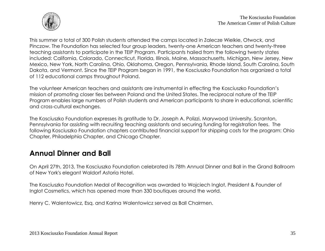

This summer a total of 300 Polish students attended the camps located in Zalecze Wielkie, Otwock, and Pinczow. The Foundation has selected four group leaders, twenty-one American teachers and twenty-three teaching assistants to participate in the TEIP Program. Participants hailed from the following twenty states included: California, Colorado, Connecticut, Florida, Illinois, Maine, Massachusetts, Michigan, New Jersey, New Mexico, New York, North Carolina, Ohio, Oklahoma, Oregon, Pennsylvania, Rhode Island, South Carolina, South Dakota, and Vermont. Since the TEIP Program began in 1991, the Kosciuszko Foundation has organized a total of 112 educational camps throughout Poland.

The volunteer American teachers and assistants are instrumental in effecting the Kosciuszko Foundation's mission of promoting closer ties between Poland and the United States. The reciprocal nature of the TEIP Program enables large numbers of Polish students and American participants to share in educational, scientific and cross-cultural exchanges.

The Kosciuszko Foundation expresses its gratitude to Dr. Joseph A. Polizzi, Marywood University, Scranton, Pennsylvania for assisting with recruiting teaching assistants and securing funding for registration fees. The following Kosciuszko Foundation chapters contributed financial support for shipping costs for the program: Ohio Chapter, Philadelphia Chapter, and Chicago Chapter.

## **Annual Dinner and Ball**

On April 27th, 2013, The Kosciuszko Foundation celebrated its 78th Annual Dinner and Ball in the Grand Ballroom of New York's elegant Waldorf Astoria Hotel.

The Kosciuszko Foundation Medal of Recognition was awarded to Wojciech Inglot, President & Founder of Inglot Cosmetics, which has opened more than 330 boutiques around the world.

Henry C. Walentowicz, Esq. and Karina Walentowicz served as Ball Chairmen.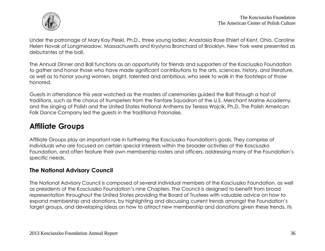

Under the patronage of Mary Kay Pieski, Ph.D., three young ladies: Anastasia Rose Ehlert of Kent, Ohio, Caroline Helen Novak of Longmeadow, Massachusetts and Krystyna Bronchard of Brooklyn, New York were presented as debutantes at the ball.

The Annual Dinner and Ball functions as an opportunity for friends and supporters of the Kosciuszko Foundation to gather and honor those who have made significant contributions to the arts, sciences, history, and literature, as well as to honor young women, bright, talented and ambitious, who seek to walk in the footsteps of those honored.

Guests in attendance this year watched as the masters of ceremonies guided the Ball through a host of traditions, such as the chorus of trumpeters from the Fanfare Squadron of the U.S. Merchant Marine Academy, and the singing of Polish and the United States National Anthems by Teresa Wojcik, Ph.D. The Polish American Folk Dance Company led the guests in the traditional Polonaise.

## **Affiliate Groups**

Affiliate Groups play an important role in furthering the Kosciuszko Foundation's goals. They comprise of individuals who are focused on certain special interests within the broader activities of the Kosciuszko Foundation, and often feature their own membership rosters and officers, addressing many of the Foundation's specific needs.

#### **The National Advisory Council**

The National Advisory Council is composed of several individual members of the Kosciuszko Foundation, as well as presidents of the Kosciuszko Foundation's nine Chapters. The Council is designed to benefit from broad representation throughout the United States providing the Board of Trustees with valuable advice on how to expand membership and donations, by highlighting and discussing current trends amongst the Foundation's target groups, and developing ideas on how to attract new membership and donations given these trends. Its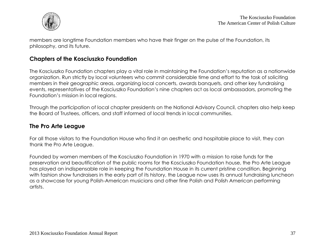

members are longtime Foundation members who have their finger on the pulse of the Foundation, its philosophy, and its future.

#### **Chapters of the Kosciuszko Foundation**

The Kosciuszko Foundation chapters play a vital role in maintaining the Foundation's reputation as a nationwide organization. Run strictly by local volunteers who commit considerable time and effort to the task of soliciting members in their geographic areas, organizing local concerts, awards banquets, and other key fundraising events, representatives of the Kosciuszko Foundation's nine chapters act as local ambassadors, promoting the Foundation's mission in local regions.

Through the participation of local chapter presidents on the National Advisory Council, chapters also help keep the Board of Trustees, officers, and staff informed of local trends in local communities.

#### **The Pro Arte League**

For all those visitors to the Foundation House who find it an aesthetic and hospitable place to visit, they can thank the Pro Arte League.

Founded by women members of the Kosciuszko Foundation in 1970 with a mission to raise funds for the preservation and beautification of the public rooms for the Kosciuszko Foundation house, the Pro Arte League has played an indispensable role in keeping the Foundation House in its current pristine condition. Beginning with fashion show fundraisers in the early part of its history, the League now uses its annual fundraising luncheon as a showcase for young Polish-American musicians and other fine Polish and Polish American performing artists.